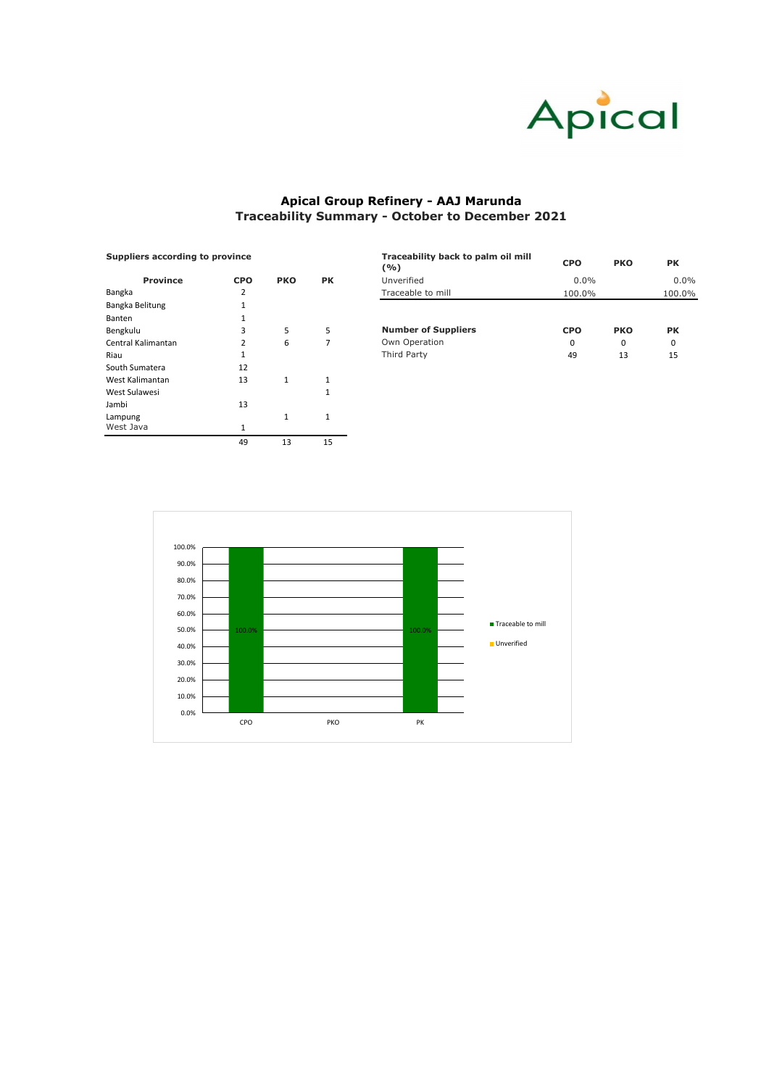| <b>Suppliers according to province</b> |            |            | Traceability back to palm oil mill<br>( %) | <b>CPO</b>                 | <b>PKO</b> | <b>PK</b>  |           |
|----------------------------------------|------------|------------|--------------------------------------------|----------------------------|------------|------------|-----------|
| <b>Province</b>                        | <b>CPO</b> | <b>PKO</b> | <b>PK</b>                                  | Unverified                 | $0.0\%$    |            | $0.0\%$   |
| Bangka                                 | າ          |            |                                            | Traceable to mill          | 100.0%     |            | 100.0%    |
| Bangka Belitung                        |            |            |                                            |                            |            |            |           |
| <b>Banten</b>                          |            |            |                                            |                            |            |            |           |
| Bengkulu                               |            | 5          |                                            | <b>Number of Suppliers</b> | <b>CPO</b> | <b>PKO</b> | <b>PK</b> |
| Central Kalimantan                     |            | 6          |                                            | Own Operation              | 0          | 0          | 0         |
| Riau                                   |            |            |                                            | Third Party                | 49         | 13         | 15        |
| .                                      | $\sim$     |            |                                            |                            |            |            |           |

| <b>Suppliers according to province</b> |            |              |           |  |  |  |  |  |
|----------------------------------------|------------|--------------|-----------|--|--|--|--|--|
| <b>Province</b>                        | <b>CPO</b> | <b>PKO</b>   | <b>PK</b> |  |  |  |  |  |
| <b>Bangka</b>                          | 2          |              |           |  |  |  |  |  |
| Bangka Belitung                        | 1          |              |           |  |  |  |  |  |
| <b>Banten</b>                          | 1          |              |           |  |  |  |  |  |
| Bengkulu                               | 3          | 5            | 5         |  |  |  |  |  |
| Central Kalimantan                     | 2          | 6            | 7         |  |  |  |  |  |
| Riau                                   | 1          |              |           |  |  |  |  |  |
| South Sumatera                         | 12         |              |           |  |  |  |  |  |
| West Kalimantan                        | 13         | $\mathbf{1}$ | 1         |  |  |  |  |  |
| West Sulawesi                          |            |              | 1         |  |  |  |  |  |
| Jambi                                  | 13         |              |           |  |  |  |  |  |
| Lampung                                |            | $\mathbf{1}$ | 1         |  |  |  |  |  |
| West Java                              | 1          |              |           |  |  |  |  |  |
|                                        | 49         | 13           | 15        |  |  |  |  |  |



## **Apical Group Refinery - AAJ Marunda Traceability Summary - October to December 2021**

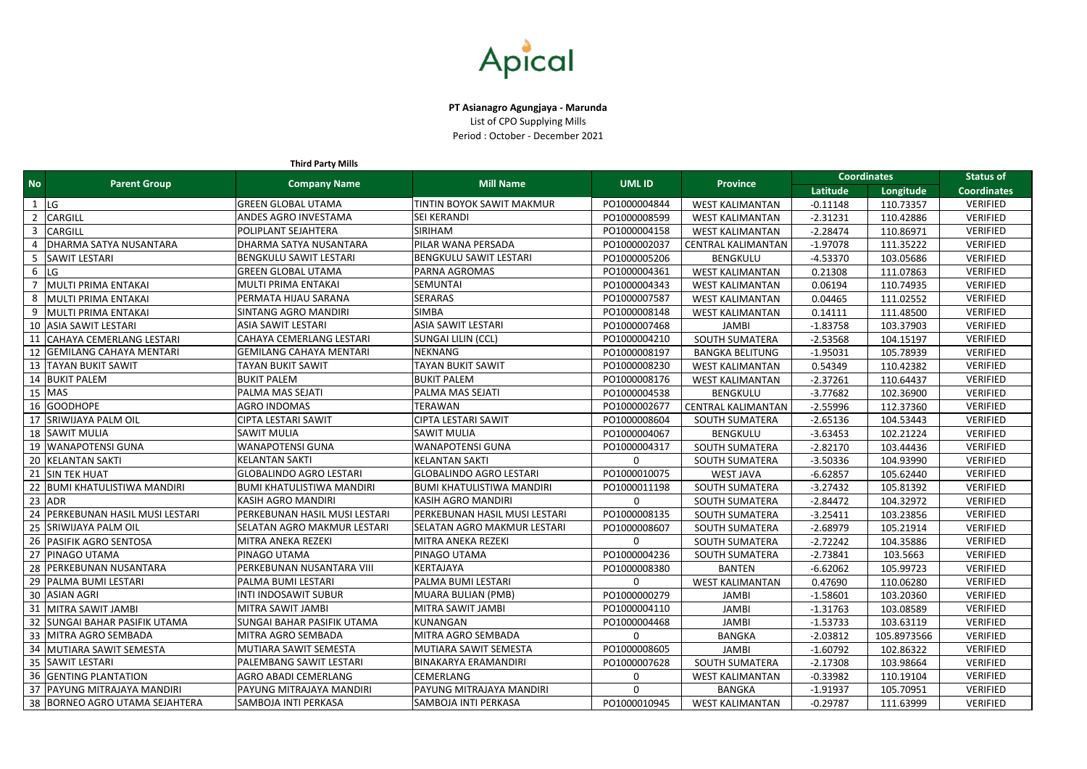| <b>Third Party Mills</b> |                                      |                                  |                                    |               |                           |                    |                  |                    |
|--------------------------|--------------------------------------|----------------------------------|------------------------------------|---------------|---------------------------|--------------------|------------------|--------------------|
| <b>No</b>                | <b>Parent Group</b>                  |                                  | <b>Mill Name</b>                   | <b>UML ID</b> | <b>Province</b>           | <b>Coordinates</b> | <b>Status of</b> |                    |
|                          |                                      | <b>Company Name</b>              |                                    |               |                           | Latitude           | Longitude        | <b>Coordinates</b> |
|                          | <b>LG</b>                            | <b>GREEN GLOBAL UTAMA</b>        | <b>TINTIN BOYOK SAWIT MAKMUR</b>   | PO1000004844  | <b>WEST KALIMANTAN</b>    | $-0.11148$         | 110.73357        | <b>VERIFIED</b>    |
|                          | CARGILL                              | ANDES AGRO INVESTAMA             | <b>SEI KERANDI</b>                 | PO1000008599  | <b>WEST KALIMANTAN</b>    | $-2.31231$         | 110.42886        | <b>VERIFIED</b>    |
|                          | <b>CARGILL</b>                       | POLIPLANT SEJAHTERA              | <b>SIRIHAM</b>                     | PO1000004158  | <b>WEST KALIMANTAN</b>    | $-2.28474$         | 110.86971        | <b>VERIFIED</b>    |
|                          | DHARMA SATYA NUSANTARA               | DHARMA SATYA NUSANTARA           | PILAR WANA PERSADA                 | PO1000002037  | <b>CENTRAL KALIMANTAN</b> | $-1.97078$         | 111.35222        | <b>VERIFIED</b>    |
|                          | <b>SAWIT LESTARI</b>                 | <b>BENGKULU SAWIT LESTARI</b>    | <b>BENGKULU SAWIT LESTARI</b>      | PO1000005206  | <b>BENGKULU</b>           | $-4.53370$         | 103.05686        | <b>VERIFIED</b>    |
| 6                        | LG                                   | <b>GREEN GLOBAL UTAMA</b>        | <b>PARNA AGROMAS</b>               | PO1000004361  | <b>WEST KALIMANTAN</b>    | 0.21308            | 111.07863        | <b>VERIFIED</b>    |
|                          | MULTI PRIMA ENTAKAI                  | MULTI PRIMA ENTAKAI              | <b>SEMUNTAI</b>                    | PO1000004343  | <b>WEST KALIMANTAN</b>    | 0.06194            | 110.74935        | <b>VERIFIED</b>    |
|                          | MULTI PRIMA ENTAKAI                  | PERMATA HIJAU SARANA             | <b>SERARAS</b>                     | PO1000007587  | <b>WEST KALIMANTAN</b>    | 0.04465            | 111.02552        | <b>VERIFIED</b>    |
| 9                        | <b>MULTI PRIMA ENTAKAI</b>           | SINTANG AGRO MANDIRI             | <b>SIMBA</b>                       | PO1000008148  | <b>WEST KALIMANTAN</b>    | 0.14111            | 111.48500        | <b>VERIFIED</b>    |
| 10                       | <b>ASIA SAWIT LESTARI</b>            | ASIA SAWIT LESTARI               | <b>ASIA SAWIT LESTARI</b>          | PO1000007468  | <b>JAMBI</b>              | $-1.83758$         | 103.37903        | <b>VERIFIED</b>    |
|                          | <b>CAHAYA CEMERLANG LESTARI</b>      | CAHAYA CEMERLANG LESTARI         | SUNGAI LILIN (CCL)                 | PO1000004210  | <b>SOUTH SUMATERA</b>     | $-2.53568$         | 104.15197        | <b>VERIFIED</b>    |
|                          | <b>GEMILANG CAHAYA MENTARI</b>       | <b>GEMILANG CAHAYA MENTARI</b>   | <b>NEKNANG</b>                     | PO1000008197  | <b>BANGKA BELITUNG</b>    | $-1.95031$         | 105.78939        | <b>VERIFIED</b>    |
| 13                       | <b>TAYAN BUKIT SAWIT</b>             | TAYAN BUKIT SAWIT                | TAYAN BUKIT SAWIT                  | PO1000008230  | <b>WEST KALIMANTAN</b>    | 0.54349            | 110.42382        | <b>VERIFIED</b>    |
|                          | 14 BUKIT PALEM                       | <b>BUKIT PALEM</b>               | <b>BUKIT PALEM</b>                 | PO1000008176  | <b>WEST KALIMANTAN</b>    | $-2.37261$         | 110.64437        | <b>VERIFIED</b>    |
|                          | $15$ MAS                             | PALMA MAS SEJATI                 | <b>PALMA MAS SEJATI</b>            | PO1000004538  | <b>BENGKULU</b>           | $-3.77682$         | 102.36900        | <b>VERIFIED</b>    |
|                          | 16 GOODHOPE                          | <b>AGRO INDOMAS</b>              | <b>TERAWAN</b>                     | PO1000002677  | <b>CENTRAL KALIMANTAN</b> | $-2.55996$         | 112.37360        | <b>VERIFIED</b>    |
| 17                       | <b>SRIWIJAYA PALM OIL</b>            | CIPTA LESTARI SAWIT              | CIPTA LESTARI SAWIT                | PO1000008604  | <b>SOUTH SUMATERA</b>     | $-2.65136$         | 104.53443        | <b>VERIFIED</b>    |
|                          | 18 SAWIT MULIA                       | SAWIT MULIA                      | <b>SAWIT MULIA</b>                 | PO1000004067  | <b>BENGKULU</b>           | $-3.63453$         | 102.21224        | <b>VERIFIED</b>    |
| 19                       | <b>WANAPOTENSI GUNA</b>              | WANAPOTENSI GUNA                 | <b>WANAPOTENSI GUNA</b>            | PO1000004317  | <b>SOUTH SUMATERA</b>     | $-2.82170$         | 103.44436        | <b>VERIFIED</b>    |
| 20                       | <b>KELANTAN SAKTI</b>                | <b>KELANTAN SAKTI</b>            | <b>KELANTAN SAKTI</b>              | $\mathbf 0$   | <b>SOUTH SUMATERA</b>     | $-3.50336$         | 104.93990        | <b>VERIFIED</b>    |
|                          | <b>SIN TEK HUAT</b>                  | <b>GLOBALINDO AGRO LESTARI</b>   | <b>GLOBALINDO AGRO LESTARI</b>     | PO1000010075  | <b>WEST JAVA</b>          | $-6.62857$         | 105.62440        | <b>VERIFIED</b>    |
|                          | <b>BUMI KHATULISTIWA MANDIRI</b>     | <b>BUMI KHATULISTIWA MANDIRI</b> | <b>BUMI KHATULISTIWA MANDIRI</b>   | PO1000011198  | <b>SOUTH SUMATERA</b>     | $-3.27432$         | 105.81392        | <b>VERIFIED</b>    |
| 23                       | <b>ADR</b>                           | <b>KASIH AGRO MANDIRI</b>        | <b>KASIH AGRO MANDIRI</b>          | $\mathbf 0$   | <b>SOUTH SUMATERA</b>     | $-2.84472$         | 104.32972        | <b>VERIFIED</b>    |
|                          | <b>PERKEBUNAN HASIL MUSI LESTARI</b> | PERKEBUNAN HASIL MUSI LESTARI    | PERKEBUNAN HASIL MUSI LESTARI      | PO1000008135  | <b>SOUTH SUMATERA</b>     | $-3.25411$         | 103.23856        | <b>VERIFIED</b>    |
|                          | <b>SRIWIJAYA PALM OIL</b>            | SELATAN AGRO MAKMUR LESTARI      | <b>SELATAN AGRO MAKMUR LESTARI</b> | PO1000008607  | <b>SOUTH SUMATERA</b>     | $-2.68979$         | 105.21914        | <b>VERIFIED</b>    |
|                          | 26   PASIFIK AGRO SENTOSA            | MITRA ANEKA REZEKI               | MITRA ANEKA REZEKI                 | $\mathbf 0$   | <b>SOUTH SUMATERA</b>     | $-2.72242$         | 104.35886        | <b>VERIFIED</b>    |
|                          | 27 PINAGO UTAMA                      | PINAGO UTAMA                     | <b>PINAGO UTAMA</b>                | PO1000004236  | <b>SOUTH SUMATERA</b>     | $-2.73841$         | 103.5663         | <b>VERIFIED</b>    |
|                          | 28 PERKEBUNAN NUSANTARA              | PERKEBUNAN NUSANTARA VIII        | KERTAJAYA                          | PO1000008380  | <b>BANTEN</b>             | $-6.62062$         | 105.99723        | <b>VERIFIED</b>    |
|                          | 29   PALMA BUMI LESTARI              | PALMA BUMI LESTARI               | PALMA BUMI LESTARI                 | $\mathbf{0}$  | <b>WEST KALIMANTAN</b>    | 0.47690            | 110.06280        | <b>VERIFIED</b>    |
|                          | 30 ASIAN AGRI                        | <b>INTI INDOSAWIT SUBUR</b>      | MUARA BULIAN (PMB)                 | PO1000000279  | <b>JAMBI</b>              | $-1.58601$         | 103.20360        | <b>VERIFIED</b>    |
|                          | 31 MITRA SAWIT JAMBI                 | MITRA SAWIT JAMBI                | MITRA SAWIT JAMBI                  | PO1000004110  | <b>JAMBI</b>              | $-1.31763$         | 103.08589        | <b>VERIFIED</b>    |
|                          | 32 SUNGAI BAHAR PASIFIK UTAMA        | SUNGAI BAHAR PASIFIK UTAMA       | KUNANGAN                           | PO1000004468  | <b>JAMBI</b>              | $-1.53733$         | 103.63119        | <b>VERIFIED</b>    |
|                          | 33   MITRA AGRO SEMBADA              | MITRA AGRO SEMBADA               | MITRA AGRO SEMBADA                 | $\mathbf{0}$  | <b>BANGKA</b>             | $-2.03812$         | 105.8973566      | <b>VERIFIED</b>    |
|                          | 34   MUTIARA SAWIT SEMESTA           | MUTIARA SAWIT SEMESTA            | MUTIARA SAWIT SEMESTA              | PO1000008605  | JAMBI                     | $-1.60792$         | 102.86322        | <b>VERIFIED</b>    |
|                          | 35   SAWIT LESTARI                   | PALEMBANG SAWIT LESTARI          | BINAKARYA ERAMANDIRI               | PO1000007628  | <b>SOUTH SUMATERA</b>     | $-2.17308$         | 103.98664        | <b>VERIFIED</b>    |
|                          | <b>36 GENTING PLANTATION</b>         | AGRO ABADI CEMERLANG             | <b>CEMERLANG</b>                   | 0             | <b>WEST KALIMANTAN</b>    | $-0.33982$         | 110.19104        | <b>VERIFIED</b>    |
|                          | 37   PAYUNG MITRAJAYA MANDIRI        | PAYUNG MITRAJAYA MANDIRI         | PAYUNG MITRAJAYA MANDIRI           | $\mathbf 0$   | BANGKA                    | $-1.91937$         | 105.70951        | <b>VERIFIED</b>    |
|                          | 38   BORNEO AGRO UTAMA SEJAHTERA     | SAMBOJA INTI PERKASA             | SAMBOJA INTI PERKASA               | PO1000010945  | <b>WEST KALIMANTAN</b>    | $-0.29787$         | 111.63999        | <b>VERIFIED</b>    |



**PT Asianagro Agungjaya - Marunda** List of CPO Supplying Mills

Period : October - December 2021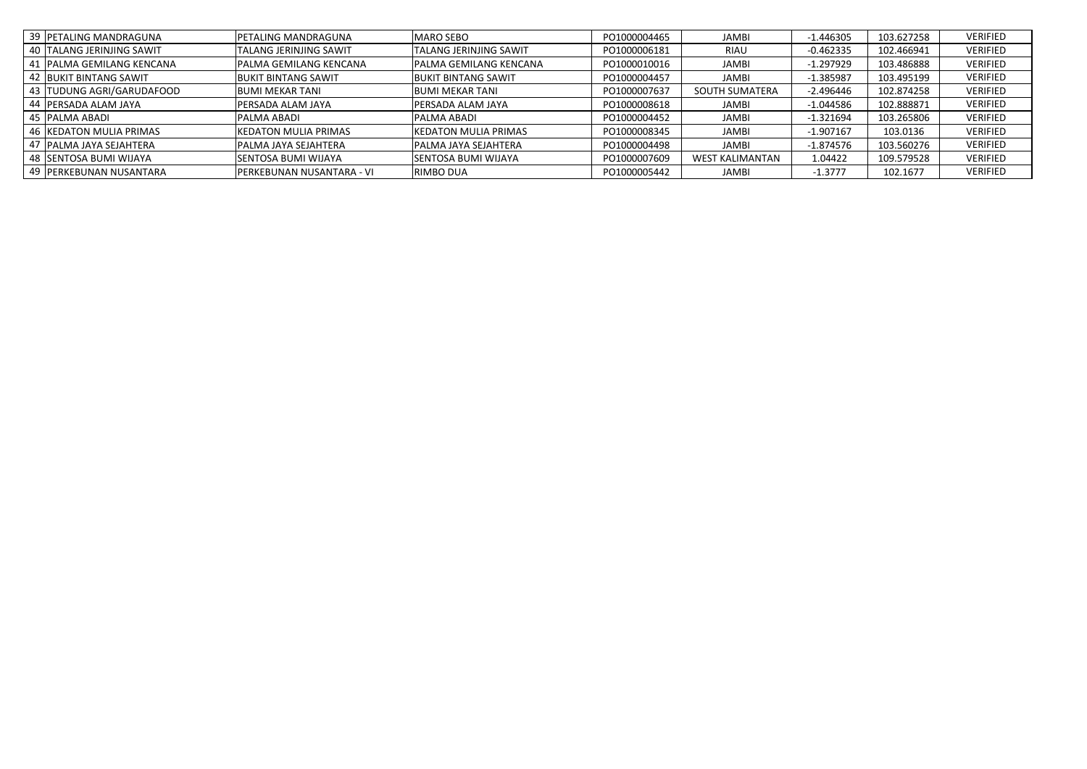| 39 PETALING MANDRAGUNA      | PETALING MANDRAGUNA           | <b>MARO SEBO</b>              | PO1000004465 | <b>JAMBI</b>           | $-1.446305$ | 103.627258 | VERIFIED        |
|-----------------------------|-------------------------------|-------------------------------|--------------|------------------------|-------------|------------|-----------------|
| 40 TALANG JERINJING SAWIT   | <b>TALANG JERINJING SAWIT</b> | <b>TALANG JERINJING SAWIT</b> | PO1000006181 | <b>RIAU</b>            | $-0.462335$ | 102.466941 | <b>VERIFIED</b> |
| 41   PALMA GEMILANG KENCANA | <b>PALMA GEMILANG KENCANA</b> | <b>PALMA GEMILANG KENCANA</b> | PO1000010016 | <b>JAMBI</b>           | $-1.297929$ | 103.486888 | <b>VERIFIED</b> |
| 42 BUKIT BINTANG SAWIT      | <b>BUKIT BINTANG SAWIT</b>    | <b>BUKIT BINTANG SAWIT</b>    | PO1000004457 | <b>JAMBI</b>           | $-1.385987$ | 103.495199 | <b>VERIFIED</b> |
| 43 TUDUNG AGRI/GARUDAFOOD   | <b>BUMI MEKAR TANI</b>        | <b>BUMI MEKAR TANI</b>        | PO1000007637 | <b>SOUTH SUMATERA</b>  | $-2.496446$ | 102.874258 | <b>VERIFIED</b> |
| 44   PERSADA ALAM JAYA      | PERSADA ALAM JAYA             | PERSADA ALAM JAYA             | PO1000008618 | <b>JAMBI</b>           | $-1.044586$ | 102.888871 | <b>VERIFIED</b> |
| 45  PALMA ABADI             | <b>PALMA ABADI</b>            | <b>PALMA ABADI</b>            | PO1000004452 | <b>JAMBI</b>           | $-1.321694$ | 103.265806 | <b>VERIFIED</b> |
| 46   KEDATON MULIA PRIMAS   | <b>KEDATON MULIA PRIMAS</b>   | <b>KEDATON MULIA PRIMAS</b>   | PO1000008345 | <b>JAMBI</b>           | $-1.907167$ | 103.0136   | <b>VERIFIED</b> |
| 47   PALMA JAYA SEJAHTERA   | <b>PALMA JAYA SEJAHTERA</b>   | PALMA JAYA SEJAHTERA          | PO1000004498 | <b>JAMBI</b>           | $-1.874576$ | 103.560276 | <b>VERIFIED</b> |
| 48 SENTOSA BUMI WIJAYA      | <b>SENTOSA BUMI WIJAYA</b>    | <b>SENTOSA BUMI WIJAYA</b>    | PO1000007609 | <b>WEST KALIMANTAN</b> | 1.04422     | 109.579528 | <b>VERIFIED</b> |
| 49   PERKEBUNAN NUSANTARA   | PERKEBUNAN NUSANTARA - VI     | <b>RIMBO DUA</b>              | PO1000005442 | <b>JAMBI</b>           | $-1.3777$   | 102.1677   | VERIFIED        |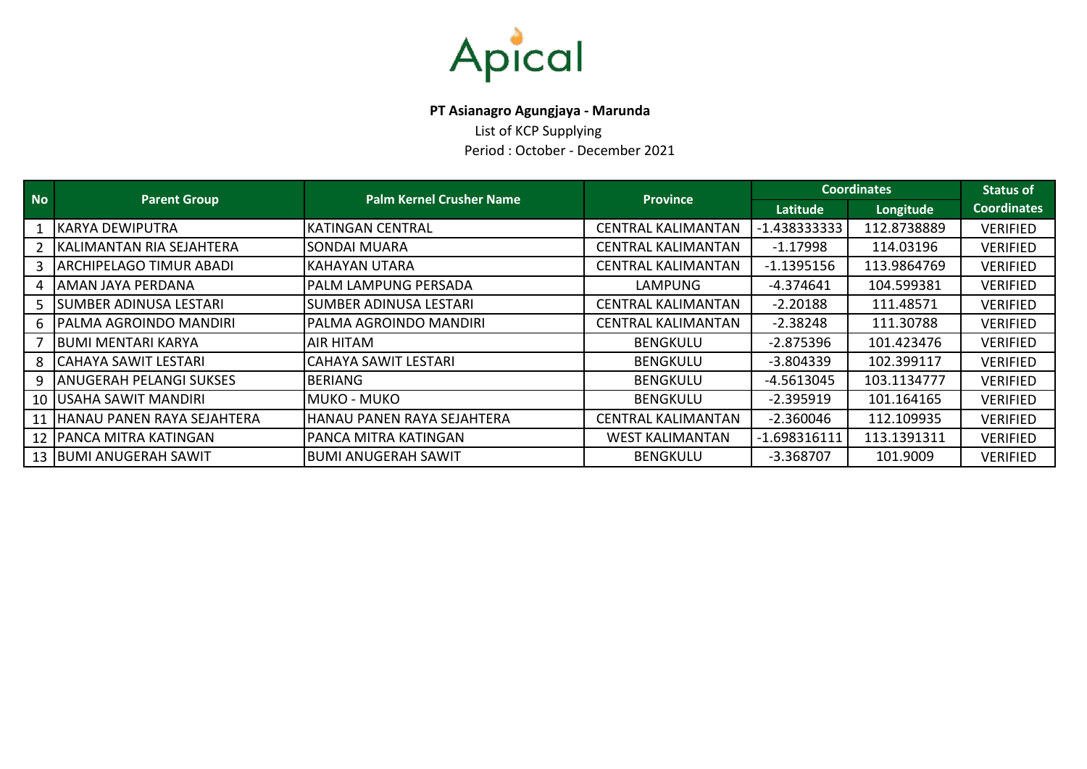

## **PT Asianagro Agungjaya - Marunda**

List of KCP Supplying Period : October - December 2021

| <b>No</b> | <b>Parent Group</b>            | <b>Palm Kernel Crusher Name</b> | <b>Province</b>           | <b>Coordinates</b> | <b>Status of</b> |                    |
|-----------|--------------------------------|---------------------------------|---------------------------|--------------------|------------------|--------------------|
|           |                                |                                 |                           | Latitude           | Longitude        | <b>Coordinates</b> |
|           | <b>KARYA DEWIPUTRA</b>         | <b>KATINGAN CENTRAL</b>         | <b>CENTRAL KALIMANTAN</b> | $-1.438333333$     | 112.8738889      | <b>VERIFIED</b>    |
|           | KALIMANTAN RIA SEJAHTERA       | <b>SONDAI MUARA</b>             | <b>CENTRAL KALIMANTAN</b> | $-1.17998$         | 114.03196        | <b>VERIFIED</b>    |
|           | <b>ARCHIPELAGO TIMUR ABADI</b> | <b>KAHAYAN UTARA</b>            | <b>CENTRAL KALIMANTAN</b> | $-1.1395156$       | 113.9864769      | <b>VERIFIED</b>    |
| 4         | AMAN JAYA PERDANA              | <b>PALM LAMPUNG PERSADA</b>     | <b>LAMPUNG</b>            | $-4.374641$        | 104.599381       | <b>VERIFIED</b>    |
|           | <b>SUMBER ADINUSA LESTARI</b>  | <b>SUMBER ADINUSA LESTARI</b>   | <b>CENTRAL KALIMANTAN</b> | $-2.20188$         | 111.48571        | <b>VERIFIED</b>    |
| 6.        | PALMA AGROINDO MANDIRI         | PALMA AGROINDO MANDIRI          | <b>CENTRAL KALIMANTAN</b> | $-2.38248$         | 111.30788        | <b>VERIFIED</b>    |
|           | <b>BUMI MENTARI KARYA</b>      | <b>AIR HITAM</b>                | <b>BENGKULU</b>           | $-2.875396$        | 101.423476       | <b>VERIFIED</b>    |
| 8         | <b>CAHAYA SAWIT LESTARI</b>    | CAHAYA SAWIT LESTARI            | <b>BENGKULU</b>           | $-3.804339$        | 102.399117       | <b>VERIFIED</b>    |
| 9         | <b>ANUGERAH PELANGI SUKSES</b> | <b>BERIANG</b>                  | <b>BENGKULU</b>           | $-4.5613045$       | 103.1134777      | <b>VERIFIED</b>    |
| 10 I      | <b>USAHA SAWIT MANDIRI</b>     | <b>MUKO - MUKO</b>              | <b>BENGKULU</b>           | $-2.395919$        | 101.164165       | <b>VERIFIED</b>    |
| 11        | HANAU PANEN RAYA SEJAHTERA     | HANAU PANEN RAYA SEJAHTERA      | <b>CENTRAL KALIMANTAN</b> | $-2.360046$        | 112.109935       | <b>VERIFIED</b>    |
|           | 12   PANCA MITRA KATINGAN      | <b>PANCA MITRA KATINGAN</b>     | <b>WEST KALIMANTAN</b>    | $-1.698316111$     | 113.1391311      | <b>VERIFIED</b>    |
|           | 13   BUMI ANUGERAH SAWIT       | <b>BUMI ANUGERAH SAWIT</b>      |                           | $-3.368707$        | 101.9009         | <b>VERIFIED</b>    |